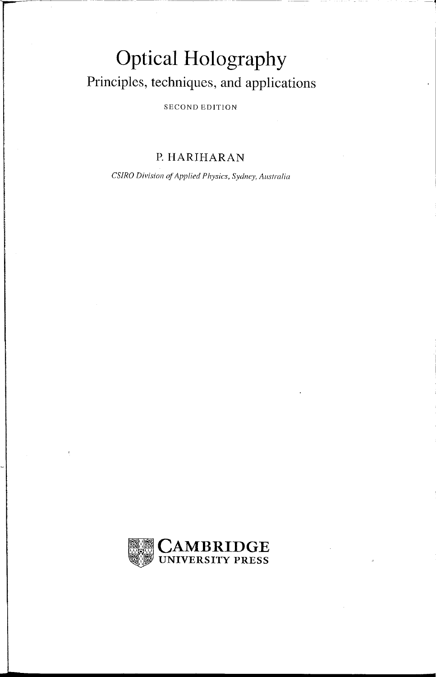## **Optical Holography Principles, techniques, and applications**

SECOND EDITION

## **P. HARIHARAN**

*CS/RO Division of Applied Physics, Sydney, Australia* 

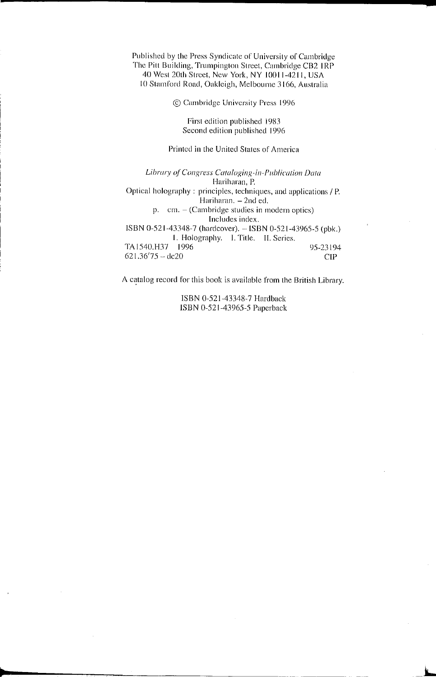Published by the Press Syndicate of University or Cambridge The Pitt Building, Trumpington Street, Cambridge CB2 IRP 40 West 20th Street, New York, NY 10011-4211, USA 10 Stami'ord Road, Oakleigh, Melbourne 3166, Australia

© Cambridge University Press 1996

First edition published 1983 Second edition published 1996

## Printed in the United States of America

Library of Congress Cataloging-in-Publication Data Hariharan, P. Optical holography: principles, techniques, and applications / P. Hariharan. - 2nd ed. p. cm. - (Cambridge studies in modern optics) Includes index. ISBN 0-521-43348-7 (hardcover). -- ISBN 0-521-43965-5 (pbk.) 1\_ Holography. I. Title. **11.** Series. TA 1540.H37 1996  $621.36'75 - dc20$ 95-23194 CIP

A catalog record for this book is available from the British Library.

ISBN 0-521-43348-7 Hardback ISBN 0-521-43965-5 Paperback

i...

 $\blacksquare$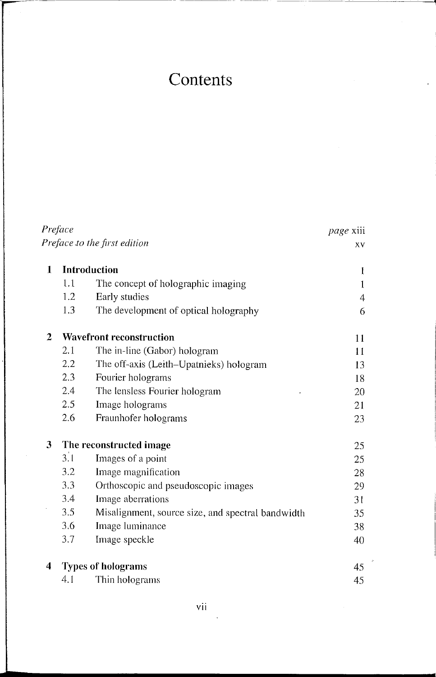## **Contents**

| Preface |              | <i>page</i> xiii                                  |    |
|---------|--------------|---------------------------------------------------|----|
|         |              | Preface to the first edition                      | XV |
| 1       | Introduction | ł                                                 |    |
|         | 1.1          | The concept of holographic imaging                | 1  |
|         | 1.2          | Early studies                                     | 4  |
|         | 1.3          | The development of optical holography             | 6  |
| 2       |              | <b>Wavefront reconstruction</b>                   | 11 |
|         | 2.1          | The in-line (Gabor) hologram                      | 11 |
|         | 2.2          | The off-axis (Leith-Upatnieks) hologram           | 13 |
|         | 2.3          | Fourier holograms                                 | 18 |
|         | 2.4          | The lensless Fourier hologram                     | 20 |
|         | 2.5          | Image holograms                                   | 21 |
|         | 2.6          | Fraunhofer holograms                              | 23 |
| 3       |              | The reconstructed image                           | 25 |
|         | 3.1          | Images of a point                                 | 25 |
|         | 3.2          | Image magnification                               | 28 |
|         | 3.3          | Orthoscopic and pseudoscopic images               | 29 |
|         | 3.4          | Image aberrations                                 | 31 |
|         | 3.5          | Misalignment, source size, and spectral bandwidth | 35 |
|         | 3.6          | Image luminance                                   | 38 |
|         | 3.7          | Image speckle                                     | 40 |
| 4       |              | <b>Types of holograms</b>                         | 45 |
|         | 4. I         | Thin holograms                                    | 45 |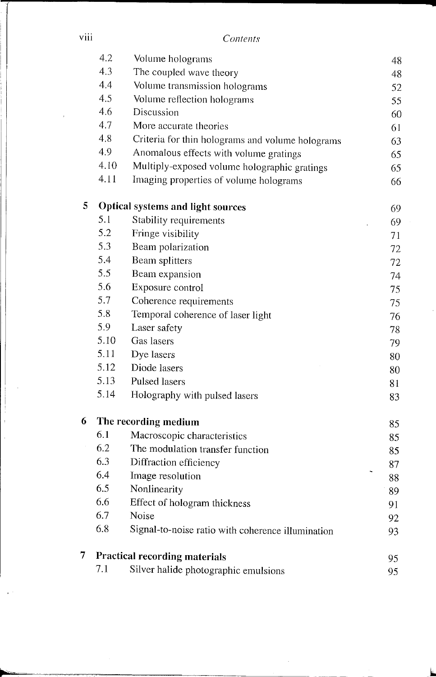| V111 | Contents |
|------|----------|
|      |          |

|   | 4.2  | Volume holograms                                  | 48       |
|---|------|---------------------------------------------------|----------|
|   | 4.3  | The coupled wave theory                           | 48       |
|   | 4.4  | Volume transmission holograms                     | 52       |
|   | 4.5  | Volume reflection holograms                       | 55       |
|   | 4.6  | Discussion                                        | 60       |
|   | 4.7  | More accurate theories                            | 61       |
|   | 4.8  | Criteria for thin holograms and volume holograms  | 63       |
|   | 4.9  | Anomalous effects with volume gratings            | 65       |
|   | 4.10 | Multiply-exposed volume holographic gratings      | 65       |
|   | 4.11 | Imaging properties of volume holograms            | 66       |
| 5 |      | Optical systems and light sources                 | 69       |
|   | 5.1  | Stability requirements                            | 69       |
|   | 5.2  | Fringe visibility                                 | 71       |
|   | 5.3  | Beam polarization                                 | 72       |
|   | 5.4  | Beam splitters                                    | 72       |
|   | 5.5  | Beam expansion                                    | 74       |
|   | 5.6  | Exposure control                                  | 75       |
|   | 5.7  | Coherence requirements                            | 75       |
|   | 5.8  | Temporal coherence of laser light                 | 76       |
|   | 5.9  | Laser safety                                      | 78       |
|   | 5.10 | Gas lasers                                        | 79       |
|   | 5.11 | Dye lasers                                        | 80       |
|   | 5.12 | Diode lasers                                      | 80       |
|   | 5.13 | Pulsed lasers                                     | 81       |
|   | 5.14 | Holography with pulsed lasers                     | 83       |
| 6 |      | The recording medium                              | 85       |
|   | 6.1  | Macroscopic characteristics                       | 85       |
|   | 6.2  | The modulation transfer function                  | 85       |
|   | 6.3  | Diffraction efficiency                            | 87       |
|   | 6.4  | Image resolution                                  | i,<br>88 |
|   | 6.5  | Nonlinearity                                      | 89       |
|   | 6.6  | Effect of hologram thickness                      | 91       |
|   | 6.7  | Noise                                             | 92       |
|   | 6.8  | Signal-to-noise ratio with coherence illumination | 93       |
| 7 |      | <b>Practical recording materials</b>              | 95       |
|   | 7.1  | Silver halide photographic emulsions              | 95       |

...... ~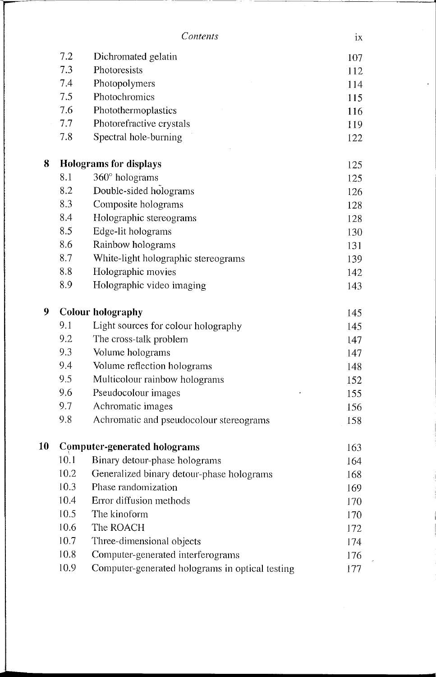\_.- ------

|    | 7.2  | Dichromated gelatin                             | 107 |
|----|------|-------------------------------------------------|-----|
|    | 7.3  | Photoresists                                    | 112 |
|    | 7.4  | Photopolymers                                   | 114 |
|    | 7.5  | Photochromics                                   | 115 |
|    | 7.6  | Photothermoplastics                             | 116 |
|    | 7.7  | Photorefractive crystals                        | 119 |
|    | 7.8  | Spectral hole-burning                           | 122 |
| 8  |      | <b>Holograms for displays</b>                   | 125 |
|    | 8.1  | 360° holograms                                  | 125 |
|    | 8.2  | Double-sided holograms                          | 126 |
|    | 8.3  | Composite holograms                             | 128 |
|    | 8.4  | Holographic stereograms                         | 128 |
|    | 8.5  | Edge-lit holograms                              | 130 |
|    | 8.6  | Rainbow holograms                               | 131 |
|    | 8.7  | White-light holographic stereograms             | 139 |
|    | 8.8  | Holographic movies                              | 142 |
|    | 8.9  | Holographic video imaging                       | 143 |
| 9  |      | <b>Colour holography</b>                        | 145 |
|    | 9.1  | Light sources for colour holography             | 145 |
|    | 9.2  | The cross-talk problem                          | 147 |
|    | 9.3  | Volume holograms                                | 147 |
|    | 9,4  | Volume reflection holograms                     | 148 |
|    | 9.5  | Multicolour rainbow holograms                   | 152 |
|    | 9.6  | Pseudocolour images                             | 155 |
|    | 9.7  | Achromatic images                               | 156 |
|    | 9.8  | Achromatic and pseudocolour stereograms         | 158 |
| 10 |      | <b>Computer-generated holograms</b>             | 163 |
|    | 10.1 | Binary detour-phase holograms                   | 164 |
|    | 10.2 | Generalized binary detour-phase holograms       | 168 |
|    | 10.3 | Phase randomization                             | 169 |
|    | 10.4 | Error diffusion methods                         | 170 |
|    | 10.5 | The kinoform                                    | 170 |
|    | 10.6 | The ROACH                                       | 172 |
|    | 10.7 | Three-dimensional objects                       | 174 |
|    | 10.8 | Computer-generated interferograms               | 176 |
|    | 10.9 | Computer-generated holograms in optical testing | 177 |

 $\ddot{\phantom{a}}$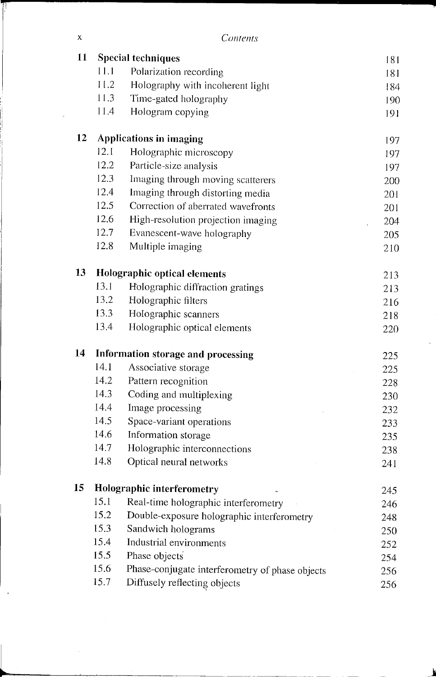| x | Contents |
|---|----------|
|   |          |

11 -------------,.

| 11 |      | <b>Special techniques</b>                       | 181 |
|----|------|-------------------------------------------------|-----|
|    | 11.1 | Polarization recording                          | 181 |
|    | 11.2 | Holography with incoherent light                | 184 |
|    | 11.3 | Time-gated holography                           | 190 |
|    | 11,4 | Hologram copying                                | 191 |
| 12 |      | <b>Applications in imaging</b>                  | 197 |
|    | 12.1 | Holographic microscopy                          | 197 |
|    | 12.2 | Particle-size analysis                          | 197 |
|    | 12.3 | Imaging through moving scatterers               | 200 |
|    | 12.4 | Imaging through distorting media                | 201 |
|    | 12.5 | Correction of aberrated wavefronts              | 201 |
|    | 12.6 | High-resolution projection imaging              | 204 |
|    | 12.7 | Evanescent-wave holography                      | 205 |
|    | 12.8 | Multiple imaging                                | 210 |
| 13 |      | <b>Holographic optical elements</b>             | 213 |
|    | 13.1 | Holographic diffraction gratings                | 213 |
|    | 13.2 | Holographic filters                             | 216 |
|    | 13.3 | Holographic scanners                            | 218 |
|    | 13.4 | Holographic optical elements                    | 220 |
| 14 |      | <b>Information storage and processing</b>       | 225 |
|    | 14.1 | Associative storage                             | 225 |
|    | 14.2 | Pattern recognition                             | 228 |
|    | 14.3 | Coding and multiplexing                         | 230 |
|    | 14.4 | Image processing                                | 232 |
|    | 14.5 | Space-variant operations                        | 233 |
|    | 14.6 | Information storage                             | 235 |
|    | 14.7 | Holographic interconnections                    | 238 |
|    | 14.8 | Optical neural networks                         | 241 |
| 15 |      | <b>Holographic interferometry</b>               | 245 |
|    | 15.1 | Real-time holographic interferometry            | 246 |
|    | 15.2 | Double-exposure holographic interferometry      | 248 |
|    | 15.3 | Sandwich holograms                              | 250 |
|    | 15.4 | Industrial environments                         | 252 |
|    | 15.5 | Phase objects                                   | 254 |
|    | 15.6 | Phase-conjugate interferometry of phase objects | 256 |
|    | 15.7 | Diffusely reflecting objects                    | 256 |

<u>L'anno 1980, il province della contrada della contrada dell'India dell'India dell'India dell'India dell'India dell'India dell'India dell'India dell'India dell'India dell'India dell'India dell'India dell'India dell'India d</u>